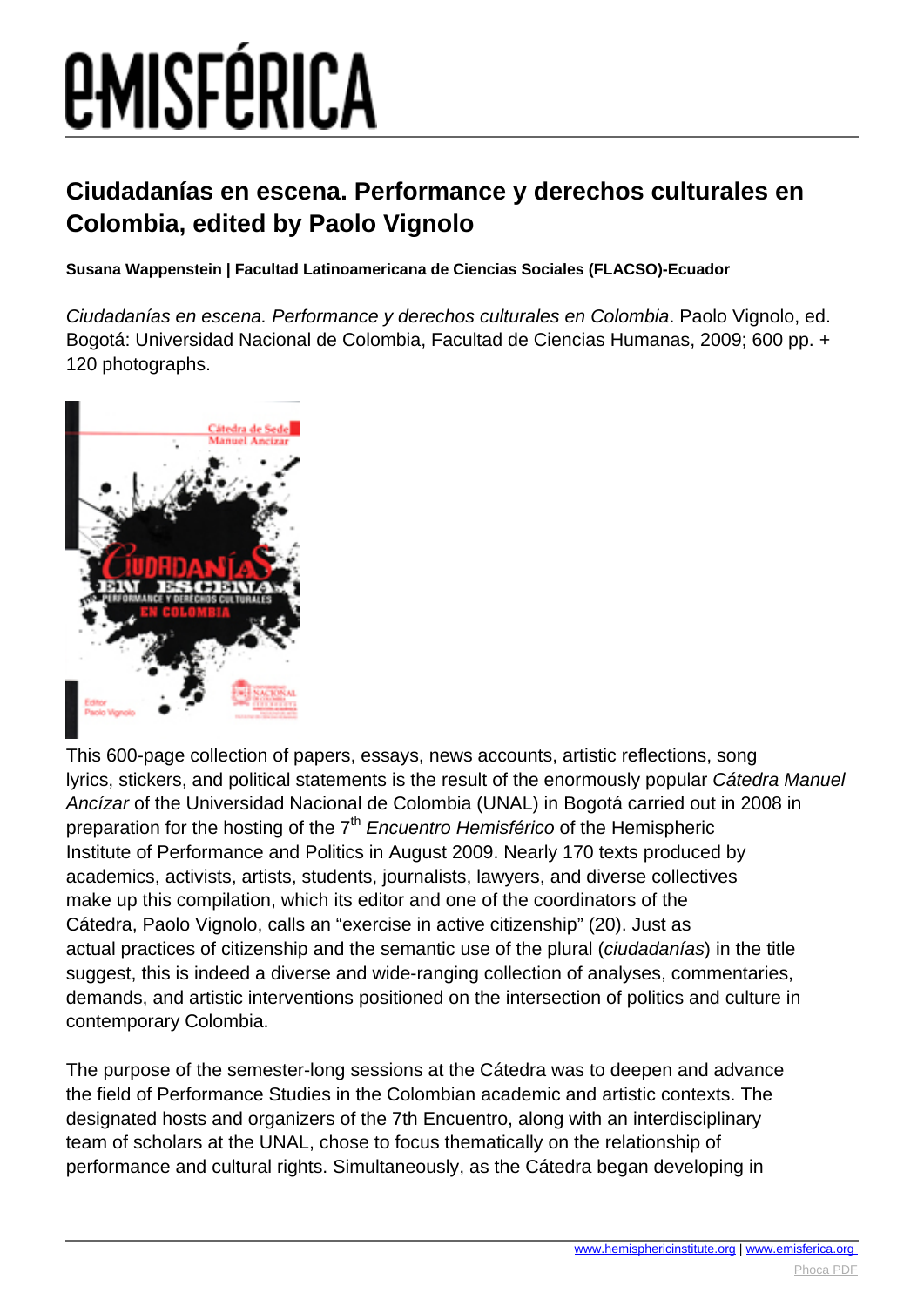# **EMISFÉRICA**

#### **Ciudadanías en escena. Performance y derechos culturales en Colombia, edited by Paolo Vignolo**

**Susana Wappenstein | Facultad Latinoamericana de Ciencias Sociales (FLACSO)-Ecuador**

Ciudadanías en escena. Performance y derechos culturales en Colombia. Paolo Vignolo, ed. Bogotá: Universidad Nacional de Colombia, Facultad de Ciencias Humanas, 2009; 600 pp. + 120 photographs.



This 600-page collection of papers, essays, news accounts, artistic reflections, song lyrics, stickers, and political statements is the result of the enormously popular Cátedra Manuel Ancízar of the Universidad Nacional de Colombia (UNAL) in Bogotá carried out in 2008 in preparation for the hosting of the 7<sup>th</sup> Encuentro Hemisférico of the Hemispheric Institute of Performance and Politics in August 2009. Nearly 170 texts produced by academics, activists, artists, students, journalists, lawyers, and diverse collectives make up this compilation, which its editor and one of the coordinators of the Cátedra, Paolo Vignolo, calls an "exercise in active citizenship" (20). Just as actual practices of citizenship and the semantic use of the plural (ciudadanías) in the title suggest, this is indeed a diverse and wide-ranging collection of analyses, commentaries, demands, and artistic interventions positioned on the intersection of politics and culture in contemporary Colombia.

The purpose of the semester-long sessions at the Cátedra was to deepen and advance the field of Performance Studies in the Colombian academic and artistic contexts. The designated hosts and organizers of the 7th Encuentro, along with an interdisciplinary team of scholars at the UNAL, chose to focus thematically on the relationship of performance and cultural rights. Simultaneously, as the Cátedra began developing in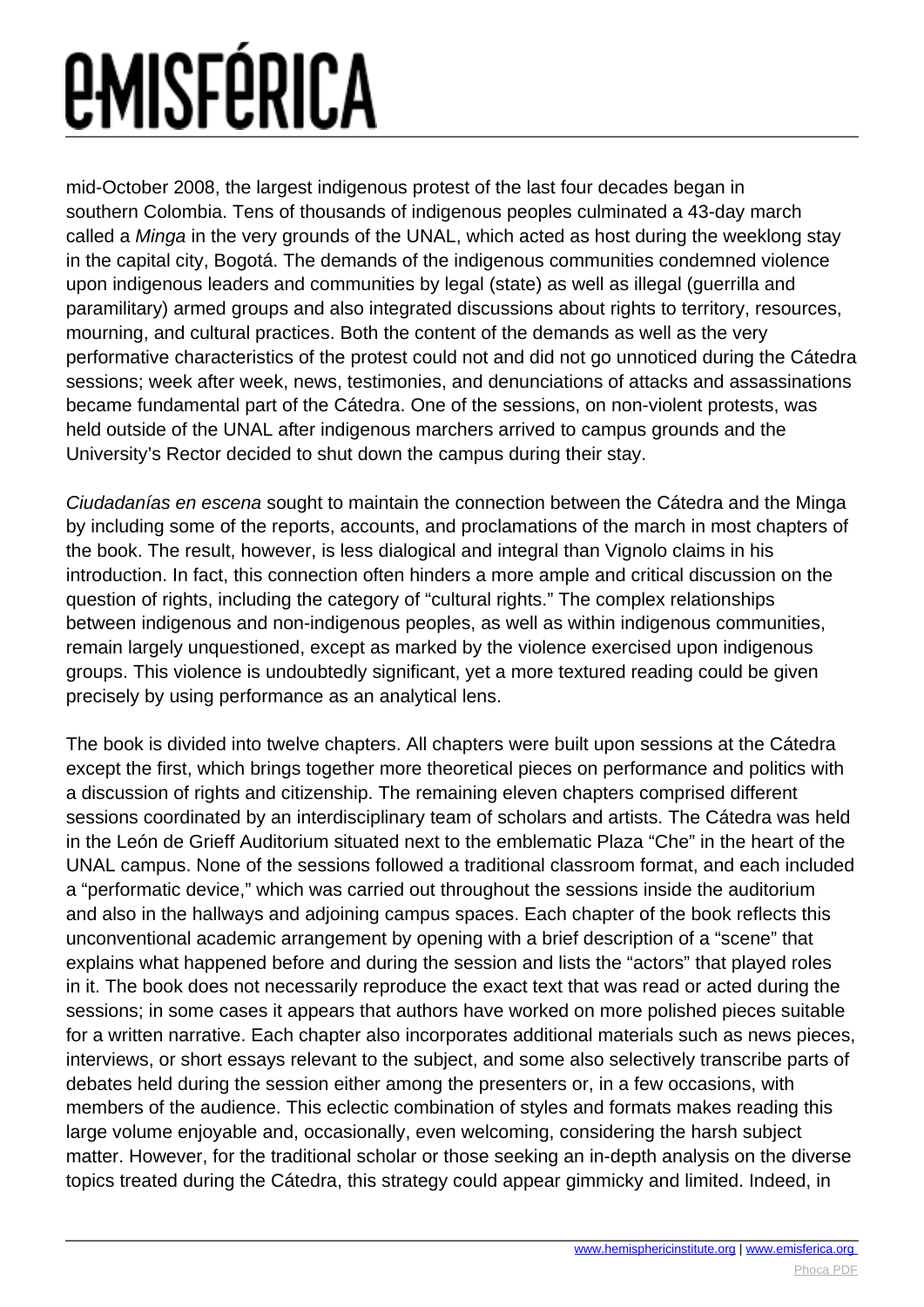# *EMISFÉRICA*

mid-October 2008, the largest indigenous protest of the last four decades began in southern Colombia. Tens of thousands of indigenous peoples culminated a 43-day march called a Minga in the very grounds of the UNAL, which acted as host during the weeklong stay in the capital city, Bogotá. The demands of the indigenous communities condemned violence upon indigenous leaders and communities by legal (state) as well as illegal (guerrilla and paramilitary) armed groups and also integrated discussions about rights to territory, resources, mourning, and cultural practices. Both the content of the demands as well as the very performative characteristics of the protest could not and did not go unnoticed during the Cátedra sessions; week after week, news, testimonies, and denunciations of attacks and assassinations became fundamental part of the Cátedra. One of the sessions, on non-violent protests, was held outside of the UNAL after indigenous marchers arrived to campus grounds and the University's Rector decided to shut down the campus during their stay.

Ciudadanías en escena sought to maintain the connection between the Cátedra and the Minga by including some of the reports, accounts, and proclamations of the march in most chapters of the book. The result, however, is less dialogical and integral than Vignolo claims in his introduction. In fact, this connection often hinders a more ample and critical discussion on the question of rights, including the category of "cultural rights." The complex relationships between indigenous and non-indigenous peoples, as well as within indigenous communities, remain largely unquestioned, except as marked by the violence exercised upon indigenous groups. This violence is undoubtedly significant, yet a more textured reading could be given precisely by using performance as an analytical lens.

The book is divided into twelve chapters. All chapters were built upon sessions at the Cátedra except the first, which brings together more theoretical pieces on performance and politics with a discussion of rights and citizenship. The remaining eleven chapters comprised different sessions coordinated by an interdisciplinary team of scholars and artists. The Cátedra was held in the León de Grieff Auditorium situated next to the emblematic Plaza "Che" in the heart of the UNAL campus. None of the sessions followed a traditional classroom format, and each included a "performatic device," which was carried out throughout the sessions inside the auditorium and also in the hallways and adjoining campus spaces. Each chapter of the book reflects this unconventional academic arrangement by opening with a brief description of a "scene" that explains what happened before and during the session and lists the "actors" that played roles in it. The book does not necessarily reproduce the exact text that was read or acted during the sessions; in some cases it appears that authors have worked on more polished pieces suitable for a written narrative. Each chapter also incorporates additional materials such as news pieces, interviews, or short essays relevant to the subject, and some also selectively transcribe parts of debates held during the session either among the presenters or, in a few occasions, with members of the audience. This eclectic combination of styles and formats makes reading this large volume enjoyable and, occasionally, even welcoming, considering the harsh subject matter. However, for the traditional scholar or those seeking an in-depth analysis on the diverse topics treated during the Cátedra, this strategy could appear gimmicky and limited. Indeed, in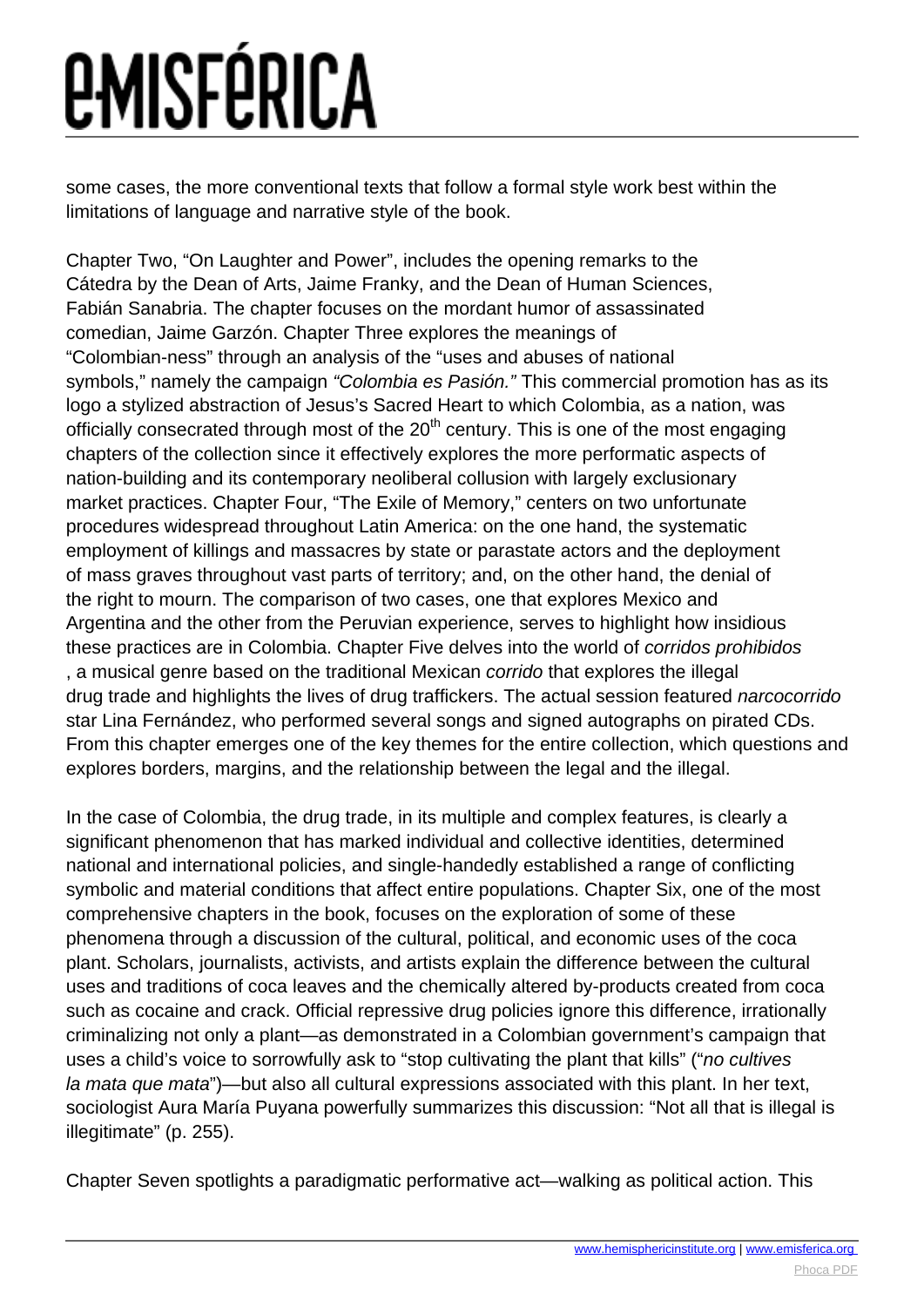## *<u>EMISFÉRICA</u>*

some cases, the more conventional texts that follow a formal style work best within the limitations of language and narrative style of the book.

Chapter Two, "On Laughter and Power", includes the opening remarks to the Cátedra by the Dean of Arts, Jaime Franky, and the Dean of Human Sciences, Fabián Sanabria. The chapter focuses on the mordant humor of assassinated comedian, Jaime Garzón. Chapter Three explores the meanings of "Colombian-ness" through an analysis of the "uses and abuses of national symbols," namely the campaign "Colombia es Pasión." This commercial promotion has as its logo a stylized abstraction of Jesus's Sacred Heart to which Colombia, as a nation, was officially consecrated through most of the  $20<sup>th</sup>$  century. This is one of the most engaging chapters of the collection since it effectively explores the more performatic aspects of nation-building and its contemporary neoliberal collusion with largely exclusionary market practices. Chapter Four, "The Exile of Memory," centers on two unfortunate procedures widespread throughout Latin America: on the one hand, the systematic employment of killings and massacres by state or parastate actors and the deployment of mass graves throughout vast parts of territory; and, on the other hand, the denial of the right to mourn. The comparison of two cases, one that explores Mexico and Argentina and the other from the Peruvian experience, serves to highlight how insidious these practices are in Colombia. Chapter Five delves into the world of corridos prohibidos , a musical genre based on the traditional Mexican corrido that explores the illegal drug trade and highlights the lives of drug traffickers. The actual session featured narcocorrido star Lina Fernández, who performed several songs and signed autographs on pirated CDs. From this chapter emerges one of the key themes for the entire collection, which questions and explores borders, margins, and the relationship between the legal and the illegal.

In the case of Colombia, the drug trade, in its multiple and complex features, is clearly a significant phenomenon that has marked individual and collective identities, determined national and international policies, and single-handedly established a range of conflicting symbolic and material conditions that affect entire populations. Chapter Six, one of the most comprehensive chapters in the book, focuses on the exploration of some of these phenomena through a discussion of the cultural, political, and economic uses of the coca plant. Scholars, journalists, activists, and artists explain the difference between the cultural uses and traditions of coca leaves and the chemically altered by-products created from coca such as cocaine and crack. Official repressive drug policies ignore this difference, irrationally criminalizing not only a plant—as demonstrated in a Colombian government's campaign that uses a child's voice to sorrowfully ask to "stop cultivating the plant that kills" ("no cultives la mata que mata")—but also all cultural expressions associated with this plant. In her text, sociologist Aura María Puyana powerfully summarizes this discussion: "Not all that is illegal is illegitimate" (p. 255).

Chapter Seven spotlights a paradigmatic performative act—walking as political action. This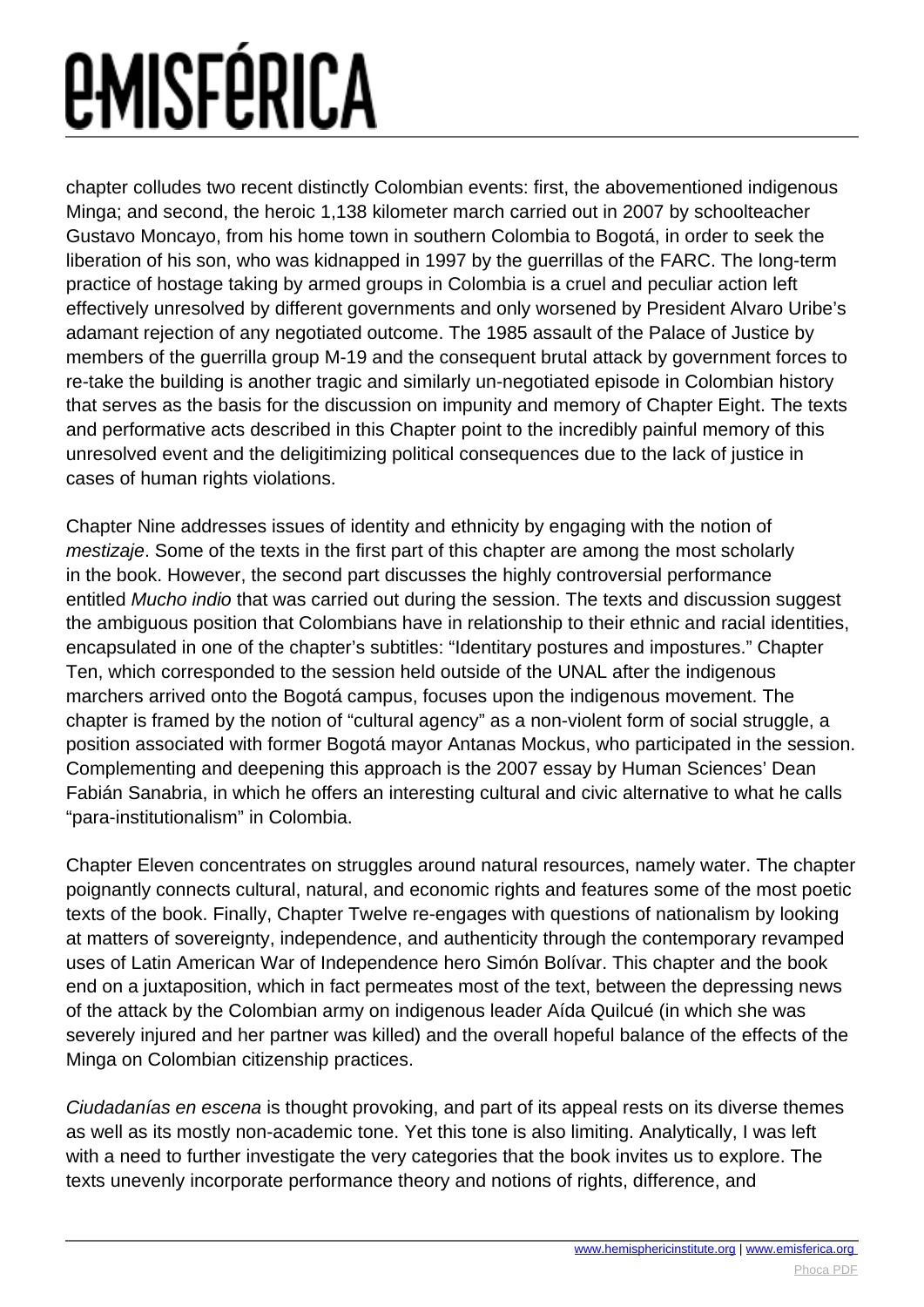# *EMISFÉRICA*

chapter colludes two recent distinctly Colombian events: first, the abovementioned indigenous Minga; and second, the heroic 1,138 kilometer march carried out in 2007 by schoolteacher Gustavo Moncayo, from his home town in southern Colombia to Bogotá, in order to seek the liberation of his son, who was kidnapped in 1997 by the guerrillas of the FARC. The long-term practice of hostage taking by armed groups in Colombia is a cruel and peculiar action left effectively unresolved by different governments and only worsened by President Alvaro Uribe's adamant rejection of any negotiated outcome. The 1985 assault of the Palace of Justice by members of the guerrilla group M-19 and the consequent brutal attack by government forces to re-take the building is another tragic and similarly un-negotiated episode in Colombian history that serves as the basis for the discussion on impunity and memory of Chapter Eight. The texts and performative acts described in this Chapter point to the incredibly painful memory of this unresolved event and the deligitimizing political consequences due to the lack of justice in cases of human rights violations.

Chapter Nine addresses issues of identity and ethnicity by engaging with the notion of mestizaje. Some of the texts in the first part of this chapter are among the most scholarly in the book. However, the second part discusses the highly controversial performance entitled Mucho indio that was carried out during the session. The texts and discussion suggest the ambiguous position that Colombians have in relationship to their ethnic and racial identities, encapsulated in one of the chapter's subtitles: "Identitary postures and impostures." Chapter Ten, which corresponded to the session held outside of the UNAL after the indigenous marchers arrived onto the Bogotá campus, focuses upon the indigenous movement. The chapter is framed by the notion of "cultural agency" as a non-violent form of social struggle, a position associated with former Bogotá mayor Antanas Mockus, who participated in the session. Complementing and deepening this approach is the 2007 essay by Human Sciences' Dean Fabián Sanabria, in which he offers an interesting cultural and civic alternative to what he calls "para-institutionalism" in Colombia.

Chapter Eleven concentrates on struggles around natural resources, namely water. The chapter poignantly connects cultural, natural, and economic rights and features some of the most poetic texts of the book. Finally, Chapter Twelve re-engages with questions of nationalism by looking at matters of sovereignty, independence, and authenticity through the contemporary revamped uses of Latin American War of Independence hero Simón Bolívar. This chapter and the book end on a juxtaposition, which in fact permeates most of the text, between the depressing news of the attack by the Colombian army on indigenous leader Aída Quilcué (in which she was severely injured and her partner was killed) and the overall hopeful balance of the effects of the Minga on Colombian citizenship practices.

Ciudadanías en escena is thought provoking, and part of its appeal rests on its diverse themes as well as its mostly non-academic tone. Yet this tone is also limiting. Analytically, I was left with a need to further investigate the very categories that the book invites us to explore. The texts unevenly incorporate performance theory and notions of rights, difference, and